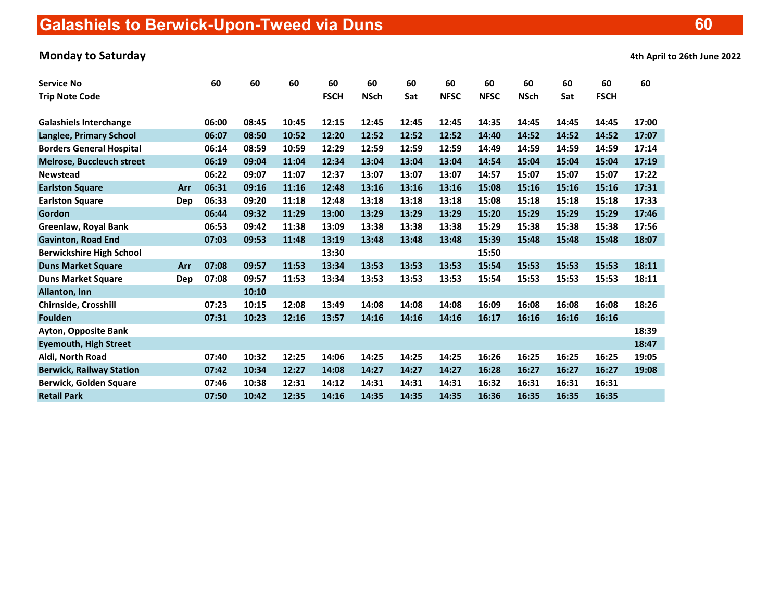# Galashiels to Berwick-Upon-Tweed via Duns

## Monday to Saturday and the 20th June 2022 of 2022 and 2022 and 2022 and 2022 and 2022 and 2022 and 2022 and 20

|  |  |  |  |  | 4th April to 26th June 2022 |
|--|--|--|--|--|-----------------------------|
|--|--|--|--|--|-----------------------------|

| <b>Service No</b>                |     | 60    | 60    | 60    | 60          | 60          | 60    | 60          | 60          | 60          | 60    | 60          | 60    |
|----------------------------------|-----|-------|-------|-------|-------------|-------------|-------|-------------|-------------|-------------|-------|-------------|-------|
| <b>Trip Note Code</b>            |     |       |       |       | <b>FSCH</b> | <b>NSch</b> | Sat   | <b>NFSC</b> | <b>NFSC</b> | <b>NSch</b> | Sat   | <b>FSCH</b> |       |
| <b>Galashiels Interchange</b>    |     | 06:00 | 08:45 | 10:45 | 12:15       | 12:45       | 12:45 | 12:45       | 14:35       | 14:45       | 14:45 | 14:45       | 17:00 |
| <b>Langlee, Primary School</b>   |     | 06:07 | 08:50 | 10:52 | 12:20       | 12:52       | 12:52 | 12:52       | 14:40       | 14:52       | 14:52 | 14:52       | 17:07 |
| <b>Borders General Hospital</b>  |     | 06:14 | 08:59 | 10:59 | 12:29       | 12:59       | 12:59 | 12:59       | 14:49       | 14:59       | 14:59 | 14:59       | 17:14 |
| <b>Melrose, Buccleuch street</b> |     | 06:19 | 09:04 | 11:04 | 12:34       | 13:04       | 13:04 | 13:04       | 14:54       | 15:04       | 15:04 | 15:04       | 17:19 |
| <b>Newstead</b>                  |     | 06:22 | 09:07 | 11:07 | 12:37       | 13:07       | 13:07 | 13:07       | 14:57       | 15:07       | 15:07 | 15:07       | 17:22 |
| <b>Earlston Square</b>           | Arr | 06:31 | 09:16 | 11:16 | 12:48       | 13:16       | 13:16 | 13:16       | 15:08       | 15:16       | 15:16 | 15:16       | 17:31 |
| <b>Earlston Square</b>           | Dep | 06:33 | 09:20 | 11:18 | 12:48       | 13:18       | 13:18 | 13:18       | 15:08       | 15:18       | 15:18 | 15:18       | 17:33 |
| Gordon                           |     | 06:44 | 09:32 | 11:29 | 13:00       | 13:29       | 13:29 | 13:29       | 15:20       | 15:29       | 15:29 | 15:29       | 17:46 |
| Greenlaw, Royal Bank             |     | 06:53 | 09:42 | 11:38 | 13:09       | 13:38       | 13:38 | 13:38       | 15:29       | 15:38       | 15:38 | 15:38       | 17:56 |
| <b>Gavinton, Road End</b>        |     | 07:03 | 09:53 | 11:48 | 13:19       | 13:48       | 13:48 | 13:48       | 15:39       | 15:48       | 15:48 | 15:48       | 18:07 |
| <b>Berwickshire High School</b>  |     |       |       |       | 13:30       |             |       |             | 15:50       |             |       |             |       |
| <b>Duns Market Square</b>        | Arr | 07:08 | 09:57 | 11:53 | 13:34       | 13:53       | 13:53 | 13:53       | 15:54       | 15:53       | 15:53 | 15:53       | 18:11 |
| <b>Duns Market Square</b>        | Dep | 07:08 | 09:57 | 11:53 | 13:34       | 13:53       | 13:53 | 13:53       | 15:54       | 15:53       | 15:53 | 15:53       | 18:11 |
| Allanton, Inn                    |     |       | 10:10 |       |             |             |       |             |             |             |       |             |       |
| <b>Chirnside, Crosshill</b>      |     | 07:23 | 10:15 | 12:08 | 13:49       | 14:08       | 14:08 | 14:08       | 16:09       | 16:08       | 16:08 | 16:08       | 18:26 |
| <b>Foulden</b>                   |     | 07:31 | 10:23 | 12:16 | 13:57       | 14:16       | 14:16 | 14:16       | 16:17       | 16:16       | 16:16 | 16:16       |       |
| <b>Ayton, Opposite Bank</b>      |     |       |       |       |             |             |       |             |             |             |       |             | 18:39 |
| <b>Eyemouth, High Street</b>     |     |       |       |       |             |             |       |             |             |             |       |             | 18:47 |
| Aldi, North Road                 |     | 07:40 | 10:32 | 12:25 | 14:06       | 14:25       | 14:25 | 14:25       | 16:26       | 16:25       | 16:25 | 16:25       | 19:05 |
| <b>Berwick, Railway Station</b>  |     | 07:42 | 10:34 | 12:27 | 14:08       | 14:27       | 14:27 | 14:27       | 16:28       | 16:27       | 16:27 | 16:27       | 19:08 |
| <b>Berwick, Golden Square</b>    |     | 07:46 | 10:38 | 12:31 | 14:12       | 14:31       | 14:31 | 14:31       | 16:32       | 16:31       | 16:31 | 16:31       |       |
| <b>Retail Park</b>               |     | 07:50 | 10:42 | 12:35 | 14:16       | 14:35       | 14:35 | 14:35       | 16:36       | 16:35       | 16:35 | 16:35       |       |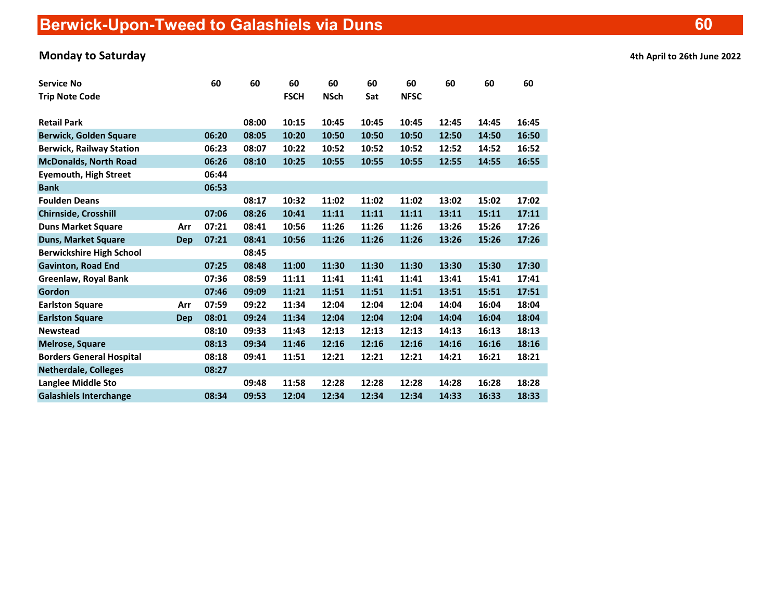## Monday to Saturday and the Controller of the Controller of the Controller of the Controller of the Controller of the Controller of the Controller of the Controller of the Controller of the Controller of the Controller of t

| <b>Service No</b>               |     | 60    | 60    | 60          | 60          | 60    | 60          | 60    | 60    | 60    |
|---------------------------------|-----|-------|-------|-------------|-------------|-------|-------------|-------|-------|-------|
| <b>Trip Note Code</b>           |     |       |       | <b>FSCH</b> | <b>NSch</b> | Sat   | <b>NFSC</b> |       |       |       |
|                                 |     |       |       |             |             |       |             |       |       |       |
| <b>Retail Park</b>              |     |       | 08:00 | 10:15       | 10:45       | 10:45 | 10:45       | 12:45 | 14:45 | 16:45 |
| <b>Berwick, Golden Square</b>   |     | 06:20 | 08:05 | 10:20       | 10:50       | 10:50 | 10:50       | 12:50 | 14:50 | 16:50 |
| <b>Berwick, Railway Station</b> |     | 06:23 | 08:07 | 10:22       | 10:52       | 10:52 | 10:52       | 12:52 | 14:52 | 16:52 |
| <b>McDonalds, North Road</b>    |     | 06:26 | 08:10 | 10:25       | 10:55       | 10:55 | 10:55       | 12:55 | 14:55 | 16:55 |
| <b>Eyemouth, High Street</b>    |     | 06:44 |       |             |             |       |             |       |       |       |
| <b>Bank</b>                     |     | 06:53 |       |             |             |       |             |       |       |       |
| <b>Foulden Deans</b>            |     |       | 08:17 | 10:32       | 11:02       | 11:02 | 11:02       | 13:02 | 15:02 | 17:02 |
| Chirnside, Crosshill            |     | 07:06 | 08:26 | 10:41       | 11:11       | 11:11 | 11:11       | 13:11 | 15:11 | 17:11 |
| <b>Duns Market Square</b>       | Arr | 07:21 | 08:41 | 10:56       | 11:26       | 11:26 | 11:26       | 13:26 | 15:26 | 17:26 |
| <b>Duns, Market Square</b>      | Dep | 07:21 | 08:41 | 10:56       | 11:26       | 11:26 | 11:26       | 13:26 | 15:26 | 17:26 |
| <b>Berwickshire High School</b> |     |       | 08:45 |             |             |       |             |       |       |       |
| <b>Gavinton, Road End</b>       |     | 07:25 | 08:48 | 11:00       | 11:30       | 11:30 | 11:30       | 13:30 | 15:30 | 17:30 |
| Greenlaw, Royal Bank            |     | 07:36 | 08:59 | 11:11       | 11:41       | 11:41 | 11:41       | 13:41 | 15:41 | 17:41 |
| Gordon                          |     | 07:46 | 09:09 | 11:21       | 11:51       | 11:51 | 11:51       | 13:51 | 15:51 | 17:51 |
| <b>Earlston Square</b>          | Arr | 07:59 | 09:22 | 11:34       | 12:04       | 12:04 | 12:04       | 14:04 | 16:04 | 18:04 |
| <b>Earlston Square</b>          | Dep | 08:01 | 09:24 | 11:34       | 12:04       | 12:04 | 12:04       | 14:04 | 16:04 | 18:04 |
| <b>Newstead</b>                 |     | 08:10 | 09:33 | 11:43       | 12:13       | 12:13 | 12:13       | 14:13 | 16:13 | 18:13 |
| <b>Melrose, Square</b>          |     | 08:13 | 09:34 | 11:46       | 12:16       | 12:16 | 12:16       | 14:16 | 16:16 | 18:16 |
| <b>Borders General Hospital</b> |     | 08:18 | 09:41 | 11:51       | 12:21       | 12:21 | 12:21       | 14:21 | 16:21 | 18:21 |
| <b>Netherdale, Colleges</b>     |     | 08:27 |       |             |             |       |             |       |       |       |
| Langlee Middle Sto              |     |       | 09:48 | 11:58       | 12:28       | 12:28 | 12:28       | 14:28 | 16:28 | 18:28 |
| <b>Galashiels Interchange</b>   |     | 08:34 | 09:53 | 12:04       | 12:34       | 12:34 | 12:34       | 14:33 | 16:33 | 18:33 |

60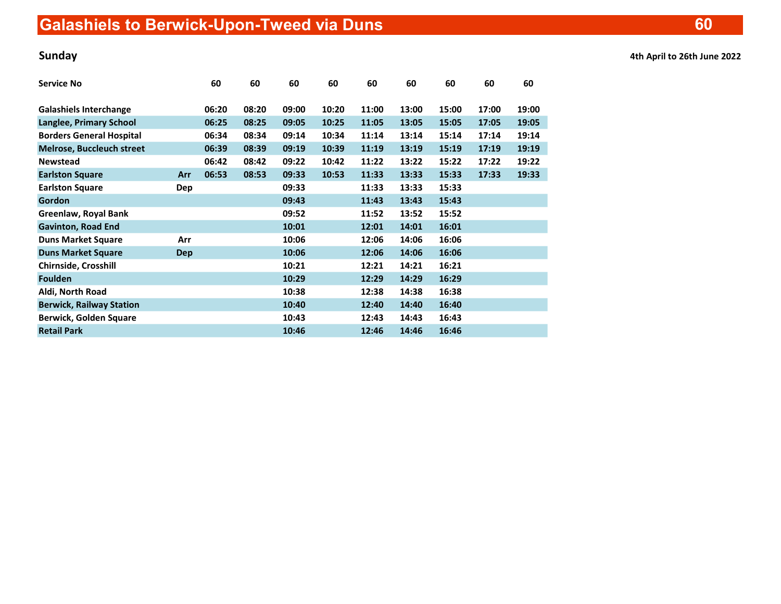| <b>Service No</b>                |            | 60    | 60    | 60    | 60    | 60    | 60    | 60    | 60    | 60    |
|----------------------------------|------------|-------|-------|-------|-------|-------|-------|-------|-------|-------|
| <b>Galashiels Interchange</b>    |            | 06:20 | 08:20 | 09:00 | 10:20 | 11:00 | 13:00 | 15:00 | 17:00 | 19:00 |
| Langlee, Primary School          |            | 06:25 | 08:25 | 09:05 | 10:25 | 11:05 | 13:05 | 15:05 | 17:05 | 19:05 |
| <b>Borders General Hospital</b>  |            | 06:34 | 08:34 | 09:14 | 10:34 | 11:14 | 13:14 | 15:14 | 17:14 | 19:14 |
| <b>Melrose, Buccleuch street</b> |            | 06:39 | 08:39 | 09:19 | 10:39 | 11:19 | 13:19 | 15:19 | 17:19 | 19:19 |
| <b>Newstead</b>                  |            | 06:42 | 08:42 | 09:22 | 10:42 | 11:22 | 13:22 | 15:22 | 17:22 | 19:22 |
| <b>Earlston Square</b>           | Arr        | 06:53 | 08:53 | 09:33 | 10:53 | 11:33 | 13:33 | 15:33 | 17:33 | 19:33 |
| <b>Earlston Square</b>           | <b>Dep</b> |       |       | 09:33 |       | 11:33 | 13:33 | 15:33 |       |       |
| Gordon                           |            |       |       | 09:43 |       | 11:43 | 13:43 | 15:43 |       |       |
| Greenlaw, Royal Bank             |            |       |       | 09:52 |       | 11:52 | 13:52 | 15:52 |       |       |
| <b>Gavinton, Road End</b>        |            |       |       | 10:01 |       | 12:01 | 14:01 | 16:01 |       |       |
| <b>Duns Market Square</b>        | Arr        |       |       | 10:06 |       | 12:06 | 14:06 | 16:06 |       |       |
| <b>Duns Market Square</b>        | <b>Dep</b> |       |       | 10:06 |       | 12:06 | 14:06 | 16:06 |       |       |
| Chirnside, Crosshill             |            |       |       | 10:21 |       | 12:21 | 14:21 | 16:21 |       |       |
| <b>Foulden</b>                   |            |       |       | 10:29 |       | 12:29 | 14:29 | 16:29 |       |       |
| Aldi, North Road                 |            |       |       | 10:38 |       | 12:38 | 14:38 | 16:38 |       |       |
| <b>Berwick, Railway Station</b>  |            |       |       | 10:40 |       | 12:40 | 14:40 | 16:40 |       |       |
| <b>Berwick, Golden Square</b>    |            |       |       | 10:43 |       | 12:43 | 14:43 | 16:43 |       |       |
| <b>Retail Park</b>               |            |       |       | 10:46 |       | 12:46 | 14:46 | 16:46 |       |       |

Sunday 4th April to 26th June 2022